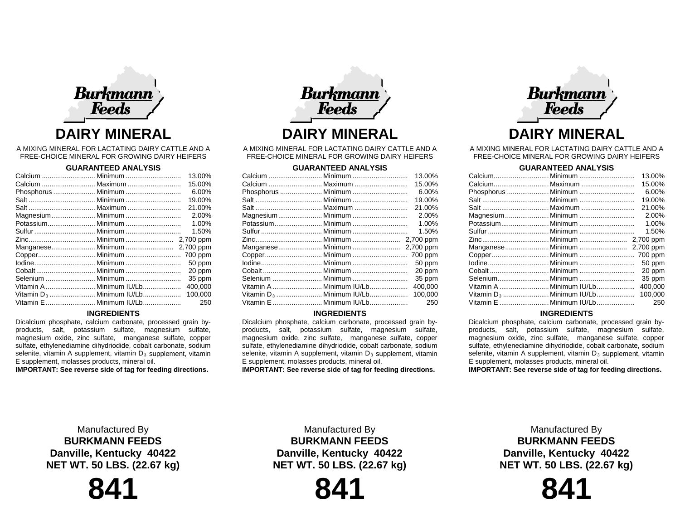

A MIXING MINERAL FOR LACTATING DAIRY CATTLE AND A FREE-CHOICE MINERAL FOR GROWING DAIRY HEIFERS

# **GUARANTEED ANALYSIS**

|                                      | 13.00%  |
|--------------------------------------|---------|
| Calcium  Maximum                     | 15.00%  |
|                                      | 6.00%   |
|                                      | 19.00%  |
|                                      | 21.00%  |
| Magnesium Minimum                    | 2.00%   |
|                                      | 1.00%   |
|                                      | 1.50%   |
|                                      |         |
|                                      |         |
|                                      |         |
|                                      | 50 ppm  |
|                                      | 20 ppm  |
|                                      | 35 ppm  |
| Vitamin A Minimum IU/Lb              | 400,000 |
| Vitamin D <sub>3</sub> Minimum IU/Lb | 100.000 |
| Vitamin E  Minimum IU/Lb             | 250     |
|                                      |         |

### **INGREDIENTS**

Dicalcium phosphate, calcium carbonate, processed grain byproducts, salt, potassium sulfate, magnesium sulfate, magnesium oxide, zinc sulfate, manganese sulfate, copper sulfate, ethylenediamine dihydriodide, cobalt carbonate, sodium selenite, vitamin A supplement, vitamin  $D_3$  supplement, vitamin E supplement, molasses products, mineral oil.

**IMPORTANT: See reverse side of tag for feeding directions.**



A MIXING MINERAL FOR LACTATING DAIRY CATTLE AND A FREE-CHOICE MINERAL FOR GROWING DAIRY HEIFERS

## **GUARANTEED ANALYSIS**

|                                      | 13.00%  |
|--------------------------------------|---------|
|                                      | 15.00%  |
|                                      | 6.00%   |
|                                      | 19.00%  |
|                                      | 21.00%  |
|                                      | 2.00%   |
|                                      | 1.00%   |
|                                      | 1.50%   |
|                                      |         |
|                                      |         |
|                                      |         |
|                                      | 50 ppm  |
|                                      | 20 ppm  |
|                                      | 35 ppm  |
| Vitamin A  Minimum IU/Lb             | 400,000 |
| Vitamin D <sub>3</sub> Minimum IU/Lb | 100.000 |
| Vitamin E  Minimum IU/Lb             | 250     |

### **INGREDIENTS**

Dicalcium phosphate, calcium carbonate, processed grain byproducts, salt, potassium sulfate, magnesium sulfate, magnesium oxide, zinc sulfate, manganese sulfate, copper sulfate, ethylenediamine dihydriodide, cobalt carbonate, sodium selenite, vitamin A supplement, vitamin  $D_3$  supplement, vitamin E supplement, molasses products, mineral oil.

**IMPORTANT: See reverse side of tag for feeding directions.**



A MIXING MINERAL FOR LACTATING DAIRY CATTLE AND A FREE-CHOICE MINERAL FOR GROWING DAIRY HEIFERS

## **GUARANTEED ANALYSIS**

|                          | 13.00%  |
|--------------------------|---------|
|                          | 15.00%  |
|                          | 6.00%   |
|                          | 19.00%  |
|                          | 21.00%  |
|                          | 2.00%   |
| Potassium Minimum        | 1.00%   |
|                          | 1.50%   |
|                          |         |
|                          |         |
|                          |         |
|                          | 50 ppm  |
|                          | 20 ppm  |
|                          | 35 ppm  |
| Vitamin A  Minimum IU/Lb | 400,000 |
|                          | 100.000 |
| Vitamin E  Minimum IU/Lb | 250     |
|                          |         |

### **INGREDIENTS**

Dicalcium phosphate, calcium carbonate, processed grain byproducts, salt, potassium sulfate, magnesium sulfate, magnesium oxide, zinc sulfate, manganese sulfate, copper sulfate, ethylenediamine dihydriodide, cobalt carbonate, sodium selenite, vitamin A supplement, vitamin  $D_3$  supplement, vitamin E supplement, molasses products, mineral oil.

**IMPORTANT: See reverse side of tag for feeding directions.**

Manufactured By **BURKMANN FEEDS Danville, Kentucky 40422 NET WT. 50 LBS. (22.67 kg)**



Manufactured By **BURKMANN FEEDS Danville, Kentucky 40422 NET WT. 50 LBS. (22.67 kg)**

**841**

Manufactured By **BURKMANN FEEDS Danville, Kentucky 40422 NET WT. 50 LBS. (22.67 kg)**